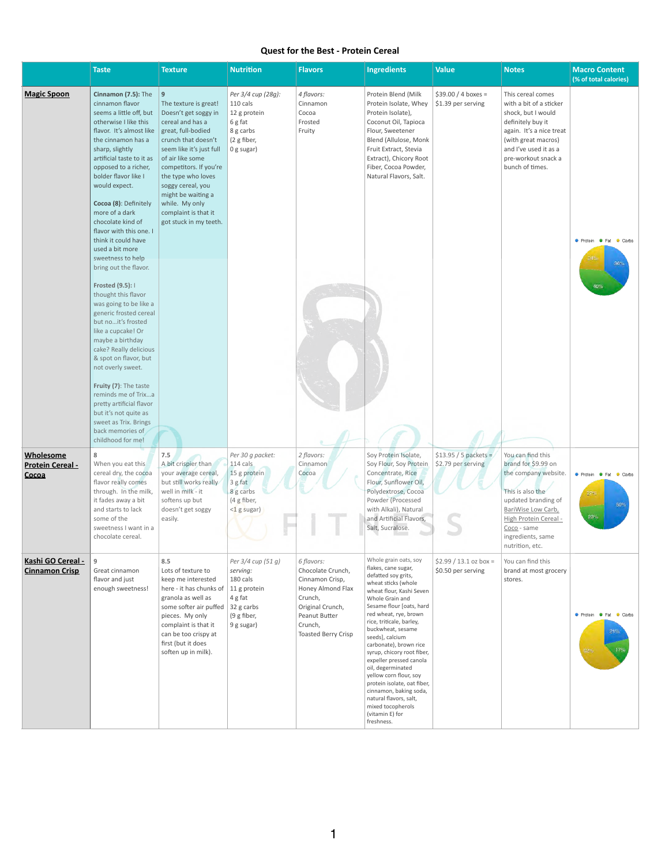## **Quest for the Best - Protein Cereal**

|                                                      | <b>Taste</b>                                                                                                                                                                                                                                                                                                                                                                                                                                     | <b>Texture</b>                                                                                                                                                                                                                                                                                                                     | <b>Nutrition</b>                                                                                      | <b>Flavors</b>                                                                                                                                                   | <b>Ingredients</b>                                                                                                                                                                                                                                                                                                                                                                                                                                                                                                                            | <b>Value</b>                                  | <b>Notes</b>                                                                                                                                                                                                      | <b>Macro Content</b><br>(% of total calories)      |
|------------------------------------------------------|--------------------------------------------------------------------------------------------------------------------------------------------------------------------------------------------------------------------------------------------------------------------------------------------------------------------------------------------------------------------------------------------------------------------------------------------------|------------------------------------------------------------------------------------------------------------------------------------------------------------------------------------------------------------------------------------------------------------------------------------------------------------------------------------|-------------------------------------------------------------------------------------------------------|------------------------------------------------------------------------------------------------------------------------------------------------------------------|-----------------------------------------------------------------------------------------------------------------------------------------------------------------------------------------------------------------------------------------------------------------------------------------------------------------------------------------------------------------------------------------------------------------------------------------------------------------------------------------------------------------------------------------------|-----------------------------------------------|-------------------------------------------------------------------------------------------------------------------------------------------------------------------------------------------------------------------|----------------------------------------------------|
| <b>Magic Spoon</b>                                   | Cinnamon (7.5): The<br>cinnamon flavor<br>seems a little off, but<br>otherwise I like this<br>flavor. It's almost like<br>the cinnamon has a<br>sharp, slightly<br>artificial taste to it as<br>opposed to a richer,<br>bolder flavor like I<br>would expect.<br>Cocoa (8): Definitely<br>more of a dark<br>chocolate kind of<br>flavor with this one. I<br>think it could have<br>used a bit more<br>sweetness to help<br>bring out the flavor. | 9<br>The texture is great!<br>Doesn't get soggy in<br>cereal and has a<br>great, full-bodied<br>crunch that doesn't<br>seem like it's just full<br>of air like some<br>competitors. If you're<br>the type who loves<br>soggy cereal, you<br>might be waiting a<br>while. My only<br>complaint is that it<br>got stuck in my teeth. | Per 3/4 cup (28g):<br>110 cals<br>12 g protein<br>6 g fat<br>8 g carbs<br>(2 g fiber,<br>0 g sugar)   | 4 flavors:<br>Cinnamon<br>Cocoa<br>Frosted<br>Fruity                                                                                                             | Protein Blend (Milk<br>Protein Isolate, Whey<br>Protein Isolate),<br>Coconut Oil, Tapioca<br>Flour, Sweetener<br>Blend (Allulose, Monk<br>Fruit Extract, Stevia<br>Extract), Chicory Root<br>Fiber, Cocoa Powder,<br>Natural Flavors, Salt.                                                                                                                                                                                                                                                                                                   | $$39.00 / 4$ boxes =<br>\$1.39 per serving    | This cereal comes<br>with a bit of a sticker<br>shock, but I would<br>definitely buy it<br>again. It's a nice treat<br>(with great macros)<br>and I've used it as a<br>pre-workout snack a<br>bunch of times.     | Protein # Fat Carbs<br>36%                         |
|                                                      | Frosted (9.5): I<br>thought this flavor<br>was going to be like a<br>generic frosted cereal<br>but noit's frosted<br>like a cupcake! Or<br>maybe a birthday<br>cake? Really delicious<br>& spot on flavor, but<br>not overly sweet.<br>Fruity (7): The taste<br>reminds me of Trixa<br>pretty artificial flavor<br>but it's not quite as<br>sweet as Trix. Brings<br>back memories of<br>childhood for me!                                       |                                                                                                                                                                                                                                                                                                                                    |                                                                                                       |                                                                                                                                                                  |                                                                                                                                                                                                                                                                                                                                                                                                                                                                                                                                               |                                               |                                                                                                                                                                                                                   | $40\%$                                             |
| <b>Wholesome</b><br><b>Protein Cereal -</b><br>Cocoa | 8<br>When you eat this<br>cereal dry, the cocoa<br>flavor really comes<br>through. In the milk,<br>it fades away a bit<br>and starts to lack<br>some of the<br>sweetness I want in a<br>chocolate cereal.                                                                                                                                                                                                                                        | 7.5<br>A bit crispier than<br>your average cereal,<br>but still works really<br>well in milk - it<br>softens up but<br>doesn't get soggy<br>easily.                                                                                                                                                                                | Per 30 g packet:<br>114 cals<br>15 g protein<br>3 g fat<br>8 g carbs<br>(4 g fiber,<br>$<$ 1 g sugar) | 2 flavors:<br>Cinnamon<br>Cocoa                                                                                                                                  | Soy Protein Isolate,<br>Soy Flour, Soy Protein<br>Concentrate, Rice<br>Flour, Sunflower Oil,<br>Polydextrose, Cocoa<br>Powder (Processed<br>with Alkali), Natural<br>and Artificial Flavors,<br>Salt, Sucralose.                                                                                                                                                                                                                                                                                                                              | $$13.95 / 5$ packets =<br>\$2.79 per serving  | You can find this<br>brand for \$9.99 on<br>the company website.<br>This is also the<br>updated branding of<br>BariWise Low Carb,<br>High Protein Cereal -<br>Coco - same<br>ingredients, same<br>nutrition, etc. | Protein <b>C</b> Fat Carbs<br>27%<br>50%<br>$23\%$ |
| Kashi GO Cereal -<br><b>Cinnamon Crisp</b>           | 9<br>Great cinnamon<br>flavor and just<br>enough sweetness!                                                                                                                                                                                                                                                                                                                                                                                      | 8.5<br>Lots of texture to<br>keep me interested<br>here - it has chunks of   11 g protein<br>granola as well as<br>some softer air puffed $\vert$ 32 g carbs<br>pieces. My only<br>complaint is that it<br>can be too crispy at<br>first (but it does<br>soften up in milk).                                                       | Per 3/4 cup (51 g)<br>serving:<br>180 cals<br>4 g fat<br>(9 g fiber,<br>9 g sugar)                    | 6 flavors:<br>Chocolate Crunch,<br>Cinnamon Crisp,<br>Honey Almond Flax<br>Crunch,<br>Original Crunch,<br>Peanut Butter<br>Crunch,<br><b>Toasted Berry Crisp</b> | Whole grain oats, soy<br>flakes, cane sugar,<br>defatted soy grits,<br>wheat sticks (whole<br>wheat flour, Kashi Seven<br>Whole Grain and<br>Sesame flour [oats, hard<br>red wheat, rye, brown<br>rice, triticale, barley,<br>buckwheat, sesame<br>seeds], calcium<br>carbonate), brown rice<br>syrup, chicory root fiber,<br>expeller pressed canola<br>oil, degerminated<br>yellow corn flour, soy<br>protein isolate, oat fiber,<br>cinnamon, baking soda,<br>natural flavors, salt,<br>mixed tocopherols<br>(vitamin E) for<br>freshness. | $$2.99 / 13.1 oz box =$<br>\$0.50 per serving | You can find this<br>brand at most grocery<br>stores.                                                                                                                                                             | Protein <b>Carbs</b><br>21%<br>17%<br>$62^{\circ}$ |

1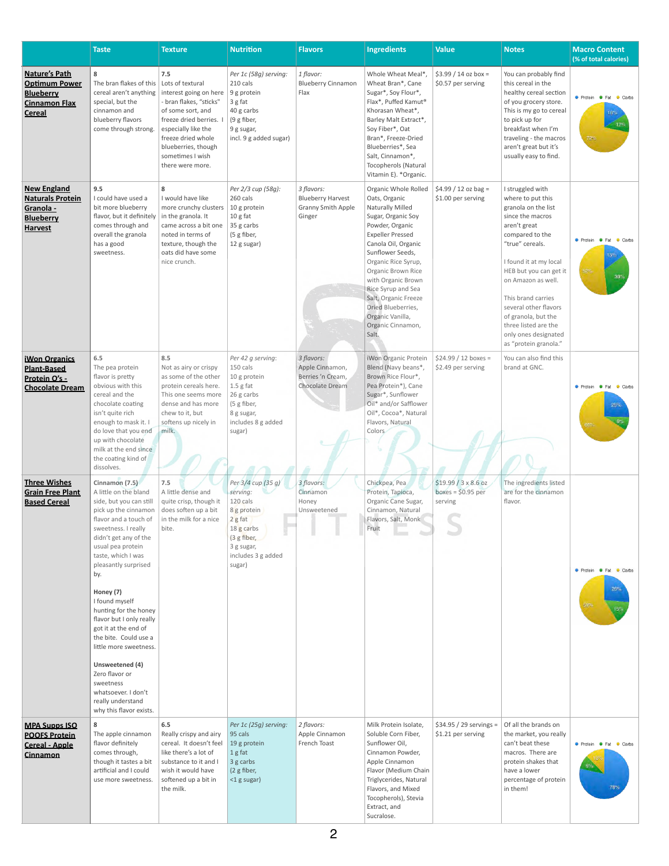|                                                                                                           | <b>Taste</b>                                                                                                                                                                                                                                                                                                                                                                                                                                                                                                                          | <b>Texture</b>                                                                                                                                                                                                     | <b>Nutrition</b>                                                                                                                                 | <b>Flavors</b>                                                                | <b>Ingredients</b>                                                                                                                                                                                                                                                                                                                                                | <b>Value</b>                                                 | <b>Notes</b>                                                                                                                                                                                                                                                                                                                                                    | <b>Macro Content</b><br>(% of total calories)   |
|-----------------------------------------------------------------------------------------------------------|---------------------------------------------------------------------------------------------------------------------------------------------------------------------------------------------------------------------------------------------------------------------------------------------------------------------------------------------------------------------------------------------------------------------------------------------------------------------------------------------------------------------------------------|--------------------------------------------------------------------------------------------------------------------------------------------------------------------------------------------------------------------|--------------------------------------------------------------------------------------------------------------------------------------------------|-------------------------------------------------------------------------------|-------------------------------------------------------------------------------------------------------------------------------------------------------------------------------------------------------------------------------------------------------------------------------------------------------------------------------------------------------------------|--------------------------------------------------------------|-----------------------------------------------------------------------------------------------------------------------------------------------------------------------------------------------------------------------------------------------------------------------------------------------------------------------------------------------------------------|-------------------------------------------------|
| <b>Nature's Path</b><br><b>Optimum Power</b><br><b>Blueberry</b><br><b>Cinnamon Flax</b><br><b>Cereal</b> | 8<br>The bran flakes of this   Lots of textural<br>cereal aren't anything<br>special, but the<br>cinnamon and<br>blueberry flavors<br>come through strong.                                                                                                                                                                                                                                                                                                                                                                            | 7.5<br>interest going on here<br>- bran flakes, "sticks"<br>of some sort, and<br>freeze dried berries.<br>especially like the<br>freeze dried whole<br>blueberries, though<br>sometimes I wish<br>there were more. | Per 1c (58g) serving:<br>210 cals<br>9 g protein<br>$3$ g fat<br>40 g carbs<br>(9 g fiber,<br>9 g sugar,<br>incl. 9 g added sugar)               | 1 flavor:<br><b>Blueberry Cinnamon</b><br>Flax                                | Whole Wheat Meal*<br>Wheat Bran*, Cane<br>Sugar*, Soy Flour*,<br>Flax*, Puffed Kamut®<br>Khorasan Wheat*,<br>Barley Malt Extract*,<br>Soy Fiber*, Oat<br>Bran*, Freeze-Dried<br>Blueberries*, Sea<br>Salt, Cinnamon*,<br><b>Tocopherols (Natural</b><br>Vitamin E). * Organic.                                                                                    | $$3.99 / 14$ oz box =<br>\$0.57 per serving                  | You can probably find<br>this cereal in the<br>healthy cereal section<br>of you grocery store.<br>This is my go to cereal<br>to pick up for<br>breakfast when I'm<br>traveling - the macros<br>aren't great but it's<br>usually easy to find.                                                                                                                   | Protein <b>C</b> Fat Carbs<br>16°<br>12%<br>72% |
| <b>New England</b><br><b>Naturals Protein</b><br>Granola -<br><b>Blueberry</b><br><b>Harvest</b>          | 9.5<br>I could have used a<br>bit more blueberry<br>flavor, but it definitely<br>comes through and<br>overall the granola<br>has a good<br>sweetness.                                                                                                                                                                                                                                                                                                                                                                                 | 8<br>I would have like<br>more crunchy clusters   10 g protein<br>in the granola. It<br>came across a bit one<br>noted in terms of<br>texture, though the<br>oats did have some<br>nice crunch.                    | Per 2/3 cup (58g):<br>260 cals<br>10 g fat<br>35 g carbs<br>(5 g fiber,<br>12 g sugar)                                                           | 3 flavors:<br><b>Blueberry Harvest</b><br><b>Granny Smith Apple</b><br>Ginger | Organic Whole Rolled<br>Oats, Organic<br>Naturally Milled<br>Sugar, Organic Soy<br>Powder, Organic<br><b>Expeller Pressed</b><br>Canola Oil, Organic<br>Sunflower Seeds,<br>Organic Rice Syrup,<br>Organic Brown Rice<br>with Organic Brown<br>Rice Syrup and Sea<br>Salt, Organic Freeze<br>Dried Blueberries,<br>Organic Vanilla,<br>Organic Cinnamon,<br>Salt. | $$4.99 / 12$ oz bag =<br>\$1.00 per serving                  | I struggled with<br>where to put this<br>granola on the list<br>since the macros<br>aren't great<br>compared to the<br>"true" cereals.<br>I found it at my local<br>HEB but you can get it<br>on Amazon as well.<br>This brand carries<br>several other flavors<br>of granola, but the<br>three listed are the<br>only ones designated<br>as "protein granola." | Protein <b>Carbs</b><br>15%<br>52%<br>33%       |
| <b>iWon Organics</b><br><b>Plant-Based</b><br>Protein O's -<br><b>Chocolate Dream</b>                     | 6.5<br>The pea protein<br>flavor is pretty<br>obvious with this<br>cereal and the<br>chocolate coating<br>isn't quite rich<br>enough to mask it. I<br>do love that you end<br>up with chocolate<br>milk at the end since<br>the coating kind of<br>dissolves.                                                                                                                                                                                                                                                                         | 8.5<br>Not as airy or crispy<br>as some of the other<br>protein cereals here.<br>This one seems more<br>dense and has more<br>chew to it, but<br>softens up nicely in<br>milk.                                     | Per 42 g serving:<br>150 cals<br>10 g protein<br>$1.5$ g fat<br>26 g carbs<br>(5 g fiber,<br>8 g sugar,<br>includes 8 g added<br>sugar)          | 3 flavors:<br>Apple Cinnamon,<br>Berries 'n Cream,<br>Chocolate Dream         | iWon Organic Protein<br>Blend (Navy beans*,<br>Brown Rice Flour*,<br>Pea Protein*), Cane<br>Sugar*, Sunflower<br>Oil* and/or Safflower<br>Oil*, Cocoa*, Natural<br>Flavors, Natural<br>Colors                                                                                                                                                                     | $$24.99 / 12$ boxes =<br>\$2.49 per serving                  | You can also find this<br>brand at GNC.                                                                                                                                                                                                                                                                                                                         | Protein <b>Carbs</b><br>25%<br>66%              |
| <b>Three Wishes</b><br><b>Grain Free Plant</b><br><b>Based Cereal</b>                                     | Cinnamon (7.5)<br>A little on the bland<br>side, but you can still<br>pick up the cinnamon<br>flavor and a touch of<br>sweetness. I really<br>didn't get any of the<br>usual pea protein<br>taste, which I was<br>pleasantly surprised<br>by.<br>Honey (7)<br>I found myself<br>hunting for the honey<br>flavor but I only really<br>got it at the end of<br>the bite. Could use a<br>little more sweetness.<br>Unsweetened (4)<br>Zero flavor or<br>sweetness<br>whatsoever. I don't<br>really understand<br>why this flavor exists. | 7.5<br>A little dense and<br>quite crisp, though it<br>does soften up a bit<br>in the milk for a nice<br>bite.                                                                                                     | Per 3/4 cup (35 g)<br>serving:<br>120 cals<br>8 g protein<br>$2g$ fat<br>18 g carbs<br>(3 g fiber,<br>3 g sugar,<br>includes 3 g added<br>sugar) | 3 flavors:<br>Cinnamon<br>Honey<br>Unsweetened                                | Chickpea, Pea<br>Protein, Tapioca,<br>Organic Cane Sugar,<br>Cinnamon, Natural<br>Flavors, Salt, Monk<br>Fruit                                                                                                                                                                                                                                                    | $$19.99 / 3 \times 8.6$ oz<br>boxes = $$0.95$ per<br>serving | The ingredients listed<br>are for the cinnamon<br>flavor.                                                                                                                                                                                                                                                                                                       | ● Protein ● Fat ● Carbs<br>26%<br>59°.          |
| <b>MPA Supps ISO</b><br><b>POOFS Protein</b><br><b>Cereal - Apple</b><br><b>Cinnamon</b>                  | 8<br>The apple cinnamon<br>flavor definitely<br>comes through,<br>though it tastes a bit<br>artificial and I could<br>use more sweetness.                                                                                                                                                                                                                                                                                                                                                                                             | 6.5<br>Really crispy and airy<br>cereal. It doesn't feel<br>like there's a lot of<br>substance to it and I<br>wish it would have<br>softened up a bit in<br>the milk.                                              | Per 1c (25g) serving:<br>95 cals<br>19 g protein<br>1g fat<br>3 g carbs<br>$(2 g$ fiber,<br><1 g sugar)                                          | 2 flavors:<br>Apple Cinnamon<br>French Toast                                  | Milk Protein Isolate,<br>Soluble Corn Fiber,<br>Sunflower Oil,<br>Cinnamon Powder,<br>Apple Cinnamon<br>Flavor (Medium Chain<br>Triglycerides, Natural<br>Flavors, and Mixed<br>Tocopherols), Stevia<br>Extract, and<br>Sucralose.                                                                                                                                | $$34.95 / 29$ servings =<br>\$1.21 per serving               | Of all the brands on<br>the market, you really<br>can't beat these<br>macros. There are<br>protein shakes that<br>have a lower<br>percentage of protein<br>in them!                                                                                                                                                                                             | ● Protein ● Fat ● Carbs                         |